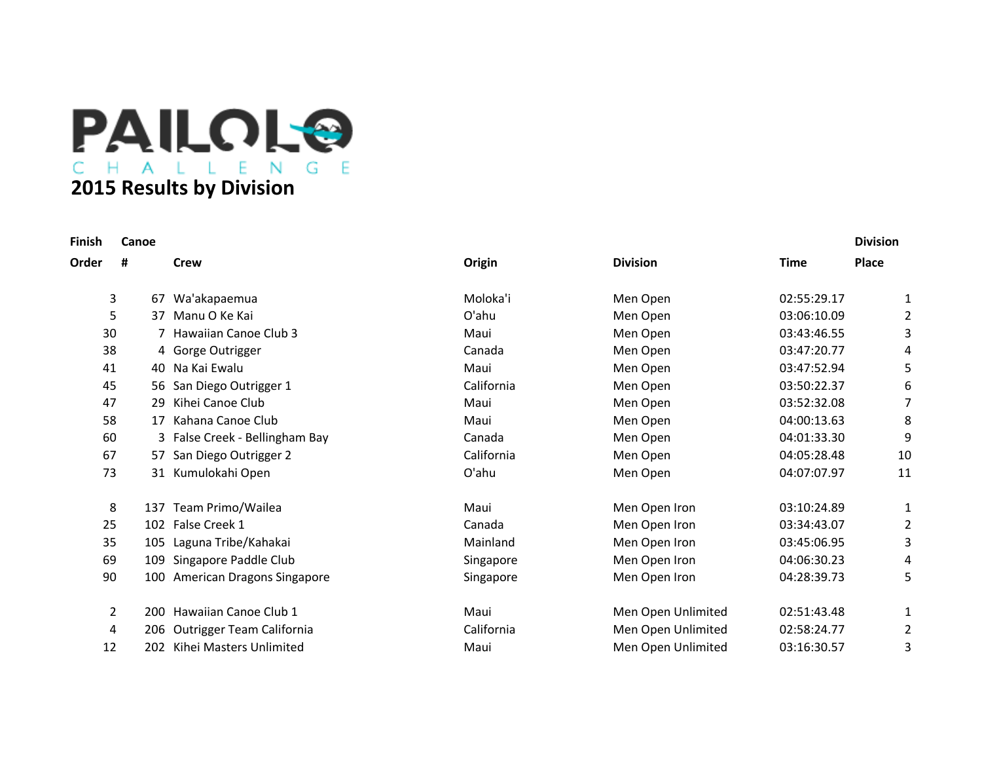**PAILOL® 2015 Results by Division**

| Finish | Canoe     |                                |            |                    |             | <b>Division</b> |
|--------|-----------|--------------------------------|------------|--------------------|-------------|-----------------|
| Order  | Ħ         | <b>Crew</b>                    | Origin     | <b>Division</b>    | <b>Time</b> | Place           |
|        | 3<br>67   | Wa'akapaemua                   | Moloka'i   | Men Open           | 02:55:29.17 | 1               |
|        | 5<br>37   | Manu O Ke Kai                  | O'ahu      | Men Open           | 03:06:10.09 | 2               |
|        | 30        | 7 Hawaiian Canoe Club 3        | Maui       | Men Open           | 03:43:46.55 | 3               |
|        | 38        | 4 Gorge Outrigger              | Canada     | Men Open           | 03:47:20.77 | 4               |
|        | 41        | 40 Na Kai Ewalu                | Maui       | Men Open           | 03:47:52.94 | 5               |
|        | 45        | 56 San Diego Outrigger 1       | California | Men Open           | 03:50:22.37 | 6               |
|        | 47<br>29  | Kihei Canoe Club               | Maui       | Men Open           | 03:52:32.08 | 7               |
|        | 58<br>17  | Kahana Canoe Club              | Maui       | Men Open           | 04:00:13.63 | 8               |
|        | 60        | 3 False Creek - Bellingham Bay | Canada     | Men Open           | 04:01:33.30 | 9               |
|        | 67        | 57 San Diego Outrigger 2       | California | Men Open           | 04:05:28.48 | 10              |
|        | 73        | 31 Kumulokahi Open             | O'ahu      | Men Open           | 04:07:07.97 | 11              |
|        | 8         | 137 Team Primo/Wailea          | Maui       | Men Open Iron      | 03:10:24.89 | 1               |
|        | 25        | 102 False Creek 1              | Canada     | Men Open Iron      | 03:34:43.07 | $\overline{2}$  |
|        | 35        | 105 Laguna Tribe/Kahakai       | Mainland   | Men Open Iron      | 03:45:06.95 | 3               |
|        | 69<br>109 | Singapore Paddle Club          | Singapore  | Men Open Iron      | 04:06:30.23 | 4               |
|        | 90        | 100 American Dragons Singapore | Singapore  | Men Open Iron      | 04:28:39.73 | 5               |
|        | 2         | 200 Hawaiian Canoe Club 1      | Maui       | Men Open Unlimited | 02:51:43.48 | 1               |
|        | 4         | 206 Outrigger Team California  | California | Men Open Unlimited | 02:58:24.77 | 2               |
|        | 12<br>202 | Kihei Masters Unlimited        | Maui       | Men Open Unlimited | 03:16:30.57 | 3               |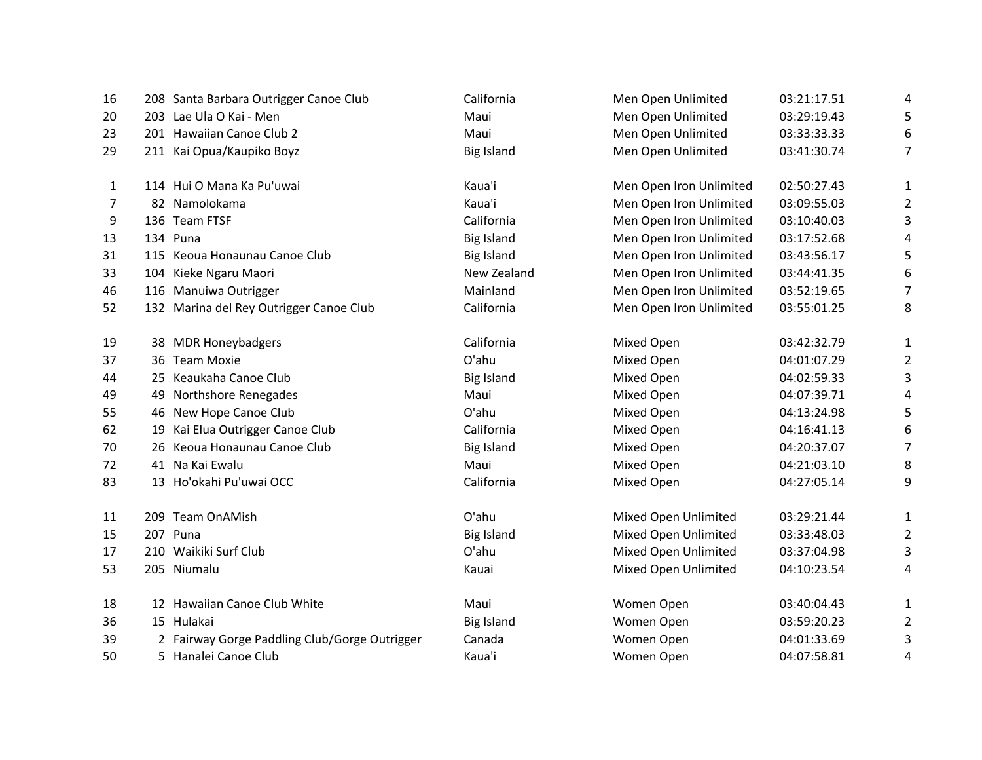| 16 | 208 Santa Barbara Outrigger Canoe Club        | California        | Men Open Unlimited      | 03:21:17.51 | 4              |
|----|-----------------------------------------------|-------------------|-------------------------|-------------|----------------|
|    |                                               |                   |                         |             |                |
| 20 | 203 Lae Ula O Kai - Men                       | Maui              | Men Open Unlimited      | 03:29:19.43 | 5              |
| 23 | 201 Hawaiian Canoe Club 2                     | Maui              | Men Open Unlimited      | 03:33:33.33 | 6              |
| 29 | 211 Kai Opua/Kaupiko Boyz                     | <b>Big Island</b> | Men Open Unlimited      | 03:41:30.74 | 7              |
| 1  | 114 Hui O Mana Ka Pu'uwai                     | Kaua'i            | Men Open Iron Unlimited | 02:50:27.43 | 1              |
| 7  | 82 Namolokama                                 | Kaua'i            | Men Open Iron Unlimited | 03:09:55.03 | $\overline{2}$ |
| 9  | 136 Team FTSF                                 | California        | Men Open Iron Unlimited | 03:10:40.03 | 3              |
| 13 | 134 Puna                                      | <b>Big Island</b> | Men Open Iron Unlimited | 03:17:52.68 | 4              |
| 31 | 115 Keoua Honaunau Canoe Club                 | <b>Big Island</b> | Men Open Iron Unlimited | 03:43:56.17 | 5              |
| 33 | 104 Kieke Ngaru Maori                         | New Zealand       | Men Open Iron Unlimited | 03:44:41.35 | 6              |
| 46 | 116 Manuiwa Outrigger                         | Mainland          | Men Open Iron Unlimited | 03:52:19.65 | 7              |
| 52 | 132 Marina del Rey Outrigger Canoe Club       | California        | Men Open Iron Unlimited | 03:55:01.25 | 8              |
| 19 | 38 MDR Honeybadgers                           | California        | Mixed Open              | 03:42:32.79 | $\mathbf{1}$   |
| 37 | 36 Team Moxie                                 | O'ahu             | Mixed Open              | 04:01:07.29 | $\overline{2}$ |
| 44 | 25 Keaukaha Canoe Club                        | <b>Big Island</b> | Mixed Open              | 04:02:59.33 | 3              |
| 49 | 49 Northshore Renegades                       | Maui              | Mixed Open              | 04:07:39.71 | 4              |
| 55 | 46 New Hope Canoe Club                        | O'ahu             | Mixed Open              | 04:13:24.98 | 5              |
| 62 | 19 Kai Elua Outrigger Canoe Club              | California        | Mixed Open              | 04:16:41.13 | 6              |
| 70 | 26 Keoua Honaunau Canoe Club                  | <b>Big Island</b> | Mixed Open              | 04:20:37.07 | 7              |
| 72 | 41 Na Kai Ewalu                               | Maui              | Mixed Open              | 04:21:03.10 | 8              |
| 83 | 13 Ho'okahi Pu'uwai OCC                       | California        | Mixed Open              | 04:27:05.14 | 9              |
| 11 | 209 Team OnAMish                              | O'ahu             | Mixed Open Unlimited    | 03:29:21.44 | $\mathbf{1}$   |
| 15 | 207 Puna                                      | <b>Big Island</b> | Mixed Open Unlimited    | 03:33:48.03 | $\overline{2}$ |
| 17 | 210 Waikiki Surf Club                         | O'ahu             | Mixed Open Unlimited    | 03:37:04.98 | 3              |
| 53 | 205 Niumalu                                   | Kauai             | Mixed Open Unlimited    | 04:10:23.54 | 4              |
| 18 | 12 Hawaiian Canoe Club White                  | Maui              | Women Open              | 03:40:04.43 | 1              |
| 36 | 15 Hulakai                                    | <b>Big Island</b> | Women Open              | 03:59:20.23 | $\overline{2}$ |
| 39 | 2 Fairway Gorge Paddling Club/Gorge Outrigger | Canada            | Women Open              | 04:01:33.69 | 3              |
| 50 | 5 Hanalei Canoe Club                          | Kaua'i            | Women Open              | 04:07:58.81 | 4              |
|    |                                               |                   |                         |             |                |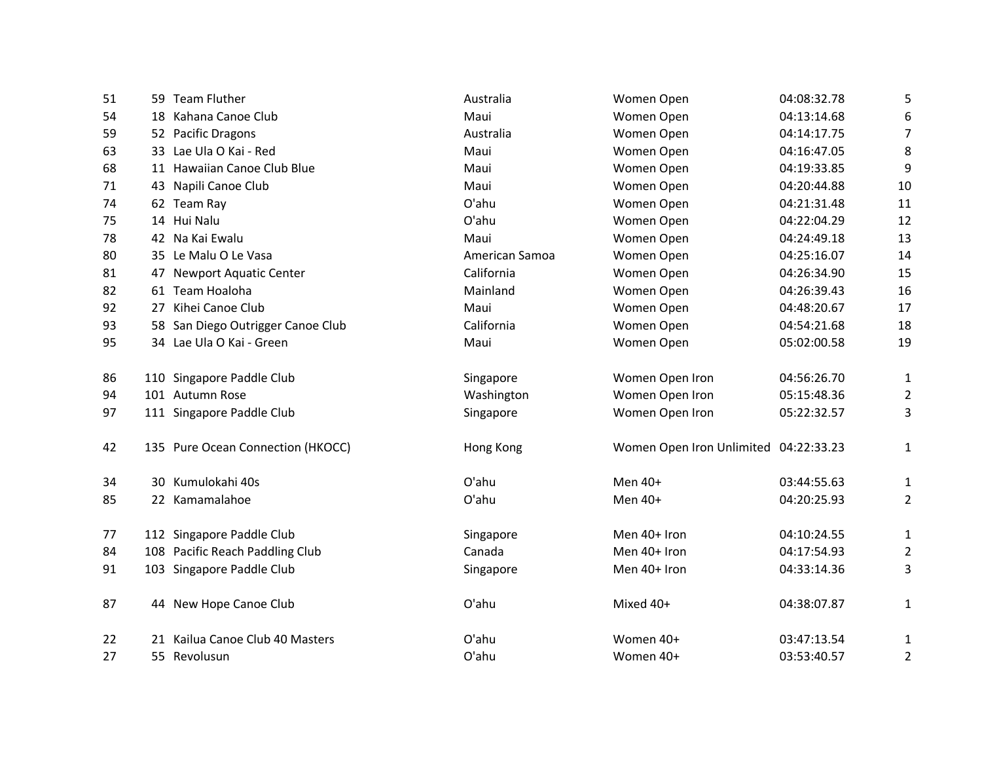| 51 | 59 Team Fluther                   | Australia      | Women Open                            | 04:08:32.78 | 5                |
|----|-----------------------------------|----------------|---------------------------------------|-------------|------------------|
| 54 | 18 Kahana Canoe Club              | Maui           | Women Open                            | 04:13:14.68 | 6                |
| 59 | 52 Pacific Dragons                | Australia      | Women Open                            | 04:14:17.75 | $\overline{7}$   |
| 63 | 33 Lae Ula O Kai - Red            | Maui           | Women Open                            | 04:16:47.05 | 8                |
| 68 | 11 Hawaiian Canoe Club Blue       | Maui           | Women Open                            | 04:19:33.85 | $\boldsymbol{9}$ |
| 71 | 43 Napili Canoe Club              | Maui           | Women Open                            | 04:20:44.88 | 10               |
| 74 | 62 Team Ray                       | O'ahu          | Women Open                            | 04:21:31.48 | 11               |
| 75 | 14 Hui Nalu                       | O'ahu          | Women Open                            | 04:22:04.29 | 12               |
| 78 | 42 Na Kai Ewalu                   | Maui           | Women Open                            | 04:24:49.18 | 13               |
| 80 | 35 Le Malu O Le Vasa              | American Samoa | Women Open                            | 04:25:16.07 | 14               |
| 81 | 47 Newport Aquatic Center         | California     | Women Open                            | 04:26:34.90 | 15               |
| 82 | 61 Team Hoaloha                   | Mainland       | Women Open                            | 04:26:39.43 | 16               |
| 92 | 27 Kihei Canoe Club               | Maui           | Women Open                            | 04:48:20.67 | 17               |
| 93 | 58 San Diego Outrigger Canoe Club | California     | Women Open                            | 04:54:21.68 | 18               |
| 95 | 34 Lae Ula O Kai - Green          | Maui           | Women Open                            | 05:02:00.58 | 19               |
| 86 | 110 Singapore Paddle Club         | Singapore      | Women Open Iron                       | 04:56:26.70 | 1                |
| 94 | 101 Autumn Rose                   | Washington     | Women Open Iron                       | 05:15:48.36 | $\overline{2}$   |
| 97 | 111 Singapore Paddle Club         | Singapore      | Women Open Iron                       | 05:22:32.57 | 3                |
| 42 | 135 Pure Ocean Connection (HKOCC) | Hong Kong      | Women Open Iron Unlimited 04:22:33.23 |             | 1                |
| 34 | 30 Kumulokahi 40s                 | O'ahu          | Men $40+$                             | 03:44:55.63 | 1                |
| 85 | 22 Kamamalahoe                    | O'ahu          | Men $40+$                             | 04:20:25.93 | $\overline{2}$   |
| 77 | 112 Singapore Paddle Club         | Singapore      | Men 40+ Iron                          | 04:10:24.55 | $\mathbf{1}$     |
| 84 | 108 Pacific Reach Paddling Club   | Canada         | Men 40+ Iron                          | 04:17:54.93 | $\overline{2}$   |
| 91 | 103 Singapore Paddle Club         | Singapore      | Men 40+ Iron                          | 04:33:14.36 | 3                |
| 87 | 44 New Hope Canoe Club            | O'ahu          | Mixed 40+                             | 04:38:07.87 | 1                |
| 22 | 21 Kailua Canoe Club 40 Masters   | O'ahu          | Women 40+                             | 03:47:13.54 | 1                |
| 27 | 55 Revolusun                      | O'ahu          | Women 40+                             | 03:53:40.57 | 2                |
|    |                                   |                |                                       |             |                  |